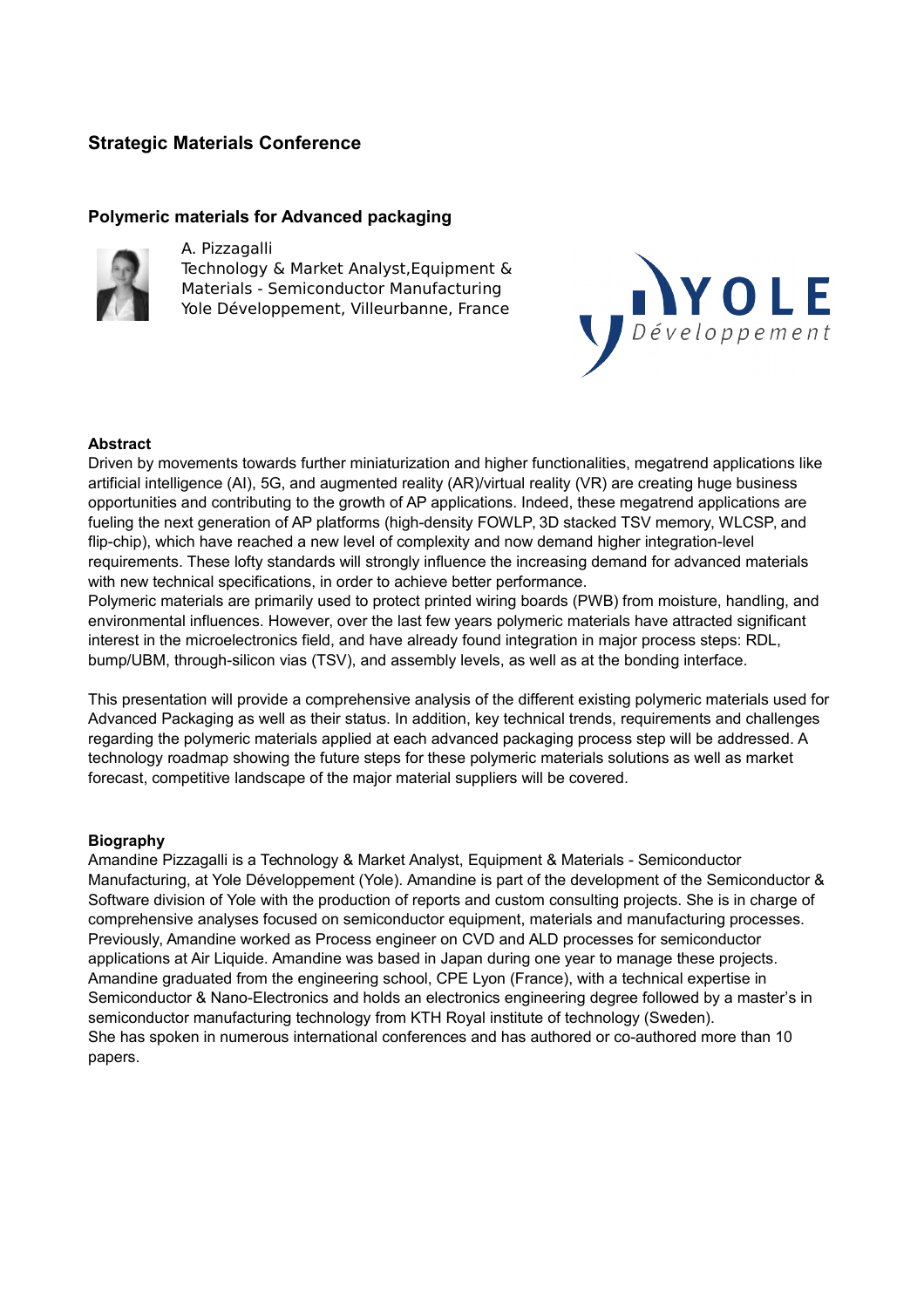# **Strategic Materials Conference**

## **Polymeric materials for Advanced packaging**



## A. Pizzagalli

Technology & Market Analyst,Equipment & Materials - Semiconductor Manufacturing Yole Développement, Villeurbanne, France



## **Abstract**

Driven by movements towards further miniaturization and higher functionalities, megatrend applications like artificial intelligence (AI), 5G, and augmented reality (AR)/virtual reality (VR) are creating huge business opportunities and contributing to the growth of AP applications. Indeed, these megatrend applications are fueling the next generation of AP platforms (high-density FOWLP, 3D stacked TSV memory, WLCSP, and flip-chip), which have reached a new level of complexity and now demand higher integration-level requirements. These lofty standards will strongly influence the increasing demand for advanced materials with new technical specifications, in order to achieve better performance.

Polymeric materials are primarily used to protect printed wiring boards (PWB) from moisture, handling, and environmental influences. However, over the last few years polymeric materials have attracted significant interest in the microelectronics field, and have already found integration in major process steps: RDL, bump/UBM, through-silicon vias (TSV), and assembly levels, as well as at the bonding interface.

This presentation will provide a comprehensive analysis of the different existing polymeric materials used for Advanced Packaging as well as their status. In addition, key technical trends, requirements and challenges regarding the polymeric materials applied at each advanced packaging process step will be addressed. A technology roadmap showing the future steps for these polymeric materials solutions as well as market forecast, competitive landscape of the major material suppliers will be covered.

## **Biography**

Amandine Pizzagalli is a Technology & Market Analyst, Equipment & Materials - Semiconductor Manufacturing, at Yole Développement (Yole). Amandine is part of the development of the Semiconductor & Software division of Yole with the production of reports and custom consulting projects. She is in charge of comprehensive analyses focused on semiconductor equipment, materials and manufacturing processes. Previously, Amandine worked as Process engineer on CVD and ALD processes for semiconductor applications at Air Liquide. Amandine was based in Japan during one year to manage these projects. Amandine graduated from the engineering school, CPE Lyon (France), with a technical expertise in Semiconductor & Nano-Electronics and holds an electronics engineering degree followed by a master's in semiconductor manufacturing technology from KTH Royal institute of technology (Sweden). She has spoken in numerous international conferences and has authored or co-authored more than 10 papers.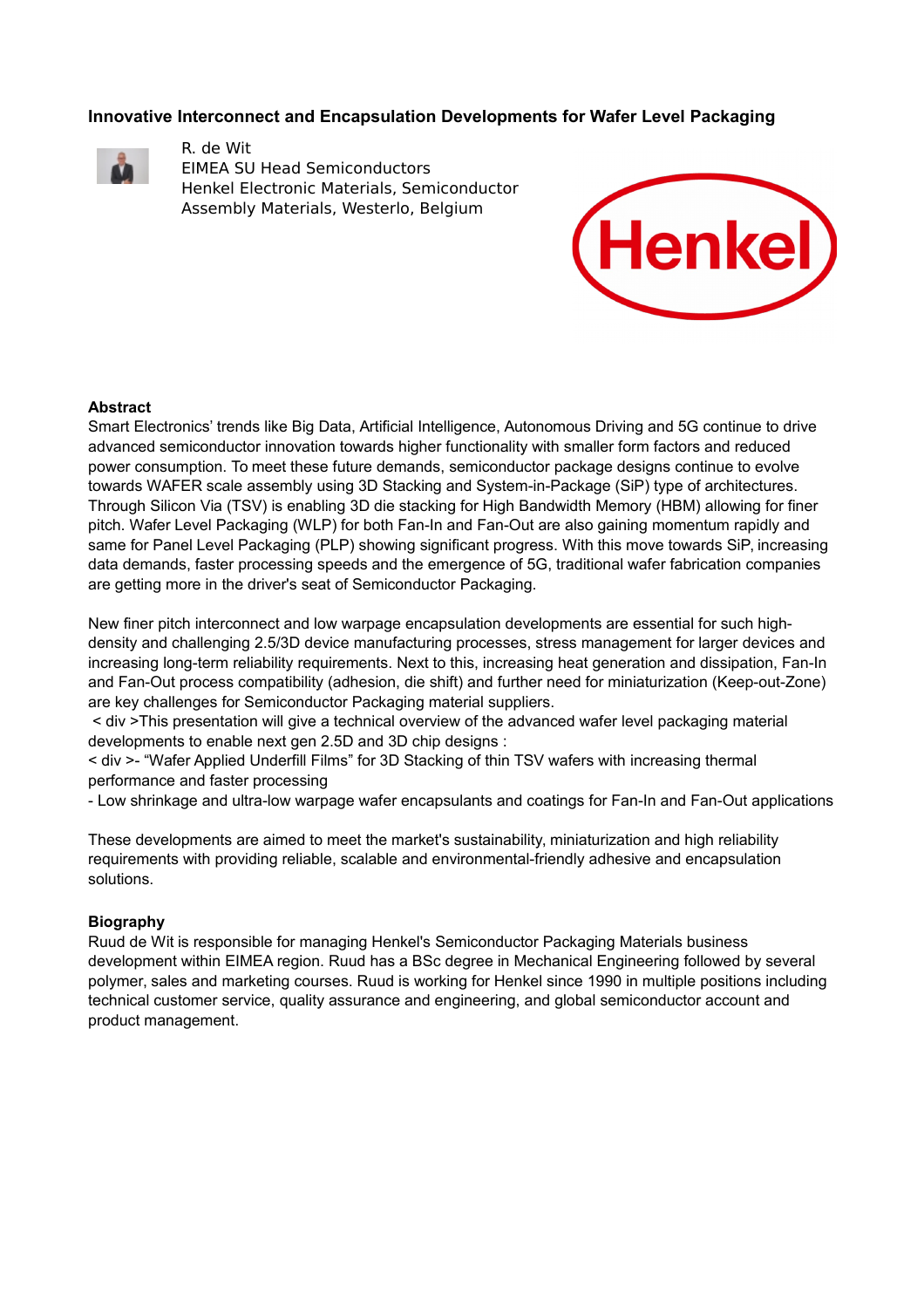# **Innovative Interconnect and Encapsulation Developments for Wafer Level Packaging**



R. de Wit EIMEA SU Head Semiconductors Henkel Electronic Materials, Semiconductor Assembly Materials, Westerlo, Belgium



### **Abstract**

Smart Electronics' trends like Big Data, Artificial Intelligence, Autonomous Driving and 5G continue to drive advanced semiconductor innovation towards higher functionality with smaller form factors and reduced power consumption. To meet these future demands, semiconductor package designs continue to evolve towards WAFER scale assembly using 3D Stacking and System-in-Package (SiP) type of architectures. Through Silicon Via (TSV) is enabling 3D die stacking for High Bandwidth Memory (HBM) allowing for finer pitch. Wafer Level Packaging (WLP) for both Fan-In and Fan-Out are also gaining momentum rapidly and same for Panel Level Packaging (PLP) showing significant progress. With this move towards SiP, increasing data demands, faster processing speeds and the emergence of 5G, traditional wafer fabrication companies are getting more in the driver's seat of Semiconductor Packaging.

New finer pitch interconnect and low warpage encapsulation developments are essential for such highdensity and challenging 2.5/3D device manufacturing processes, stress management for larger devices and increasing long-term reliability requirements. Next to this, increasing heat generation and dissipation, Fan-In and Fan-Out process compatibility (adhesion, die shift) and further need for miniaturization (Keep-out-Zone) are key challenges for Semiconductor Packaging material suppliers.

 < div >This presentation will give a technical overview of the advanced wafer level packaging material developments to enable next gen 2.5D and 3D chip designs :

< div >- "Wafer Applied Underfill Films" for 3D Stacking of thin TSV wafers with increasing thermal performance and faster processing

- Low shrinkage and ultra-low warpage wafer encapsulants and coatings for Fan-In and Fan-Out applications

These developments are aimed to meet the market's sustainability, miniaturization and high reliability requirements with providing reliable, scalable and environmental-friendly adhesive and encapsulation solutions.

## **Biography**

Ruud de Wit is responsible for managing Henkel's Semiconductor Packaging Materials business development within EIMEA region. Ruud has a BSc degree in Mechanical Engineering followed by several polymer, sales and marketing courses. Ruud is working for Henkel since 1990 in multiple positions including technical customer service, quality assurance and engineering, and global semiconductor account and product management.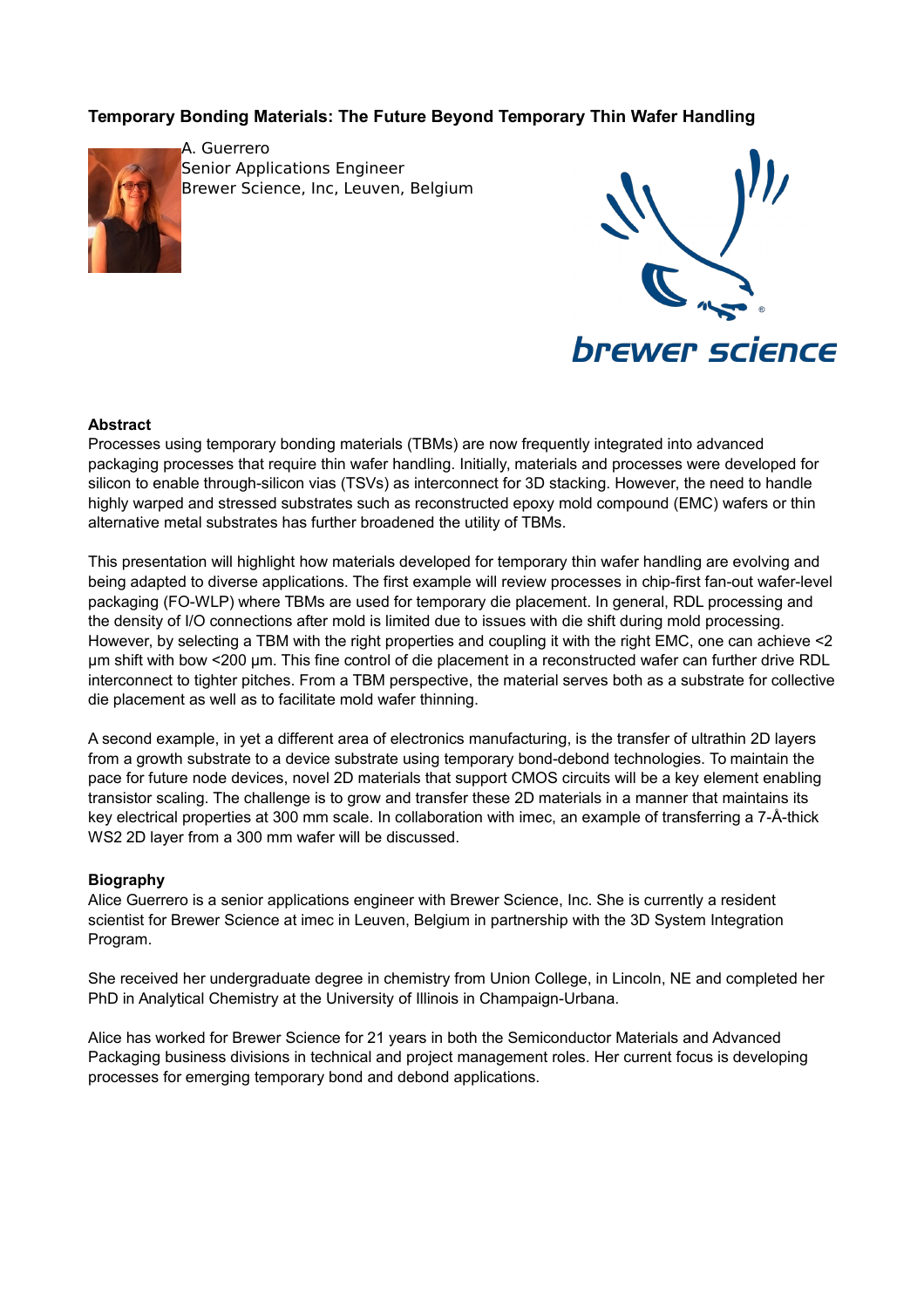# **Temporary Bonding Materials: The Future Beyond Temporary Thin Wafer Handling**



A. Guerrero Senior Applications Engineer Brewer Science, Inc, Leuven, Belgium



**brewer science** 

### **Abstract**

Processes using temporary bonding materials (TBMs) are now frequently integrated into advanced packaging processes that require thin wafer handling. Initially, materials and processes were developed for silicon to enable through-silicon vias (TSVs) as interconnect for 3D stacking. However, the need to handle highly warped and stressed substrates such as reconstructed epoxy mold compound (EMC) wafers or thin alternative metal substrates has further broadened the utility of TBMs.

This presentation will highlight how materials developed for temporary thin wafer handling are evolving and being adapted to diverse applications. The first example will review processes in chip-first fan-out wafer-level packaging (FO-WLP) where TBMs are used for temporary die placement. In general, RDL processing and the density of I/O connections after mold is limited due to issues with die shift during mold processing. However, by selecting a TBM with the right properties and coupling it with the right EMC, one can achieve <2 µm shift with bow <200 µm. This fine control of die placement in a reconstructed wafer can further drive RDL interconnect to tighter pitches. From a TBM perspective, the material serves both as a substrate for collective die placement as well as to facilitate mold wafer thinning.

A second example, in yet a different area of electronics manufacturing, is the transfer of ultrathin 2D layers from a growth substrate to a device substrate using temporary bond-debond technologies. To maintain the pace for future node devices, novel 2D materials that support CMOS circuits will be a key element enabling transistor scaling. The challenge is to grow and transfer these 2D materials in a manner that maintains its key electrical properties at 300 mm scale. In collaboration with imec, an example of transferring a 7-Å-thick WS2 2D layer from a 300 mm wafer will be discussed.

## **Biography**

Alice Guerrero is a senior applications engineer with Brewer Science, Inc. She is currently a resident scientist for Brewer Science at imec in Leuven, Belgium in partnership with the 3D System Integration Program.

She received her undergraduate degree in chemistry from Union College, in Lincoln, NE and completed her PhD in Analytical Chemistry at the University of Illinois in Champaign-Urbana.

Alice has worked for Brewer Science for 21 years in both the Semiconductor Materials and Advanced Packaging business divisions in technical and project management roles. Her current focus is developing processes for emerging temporary bond and debond applications.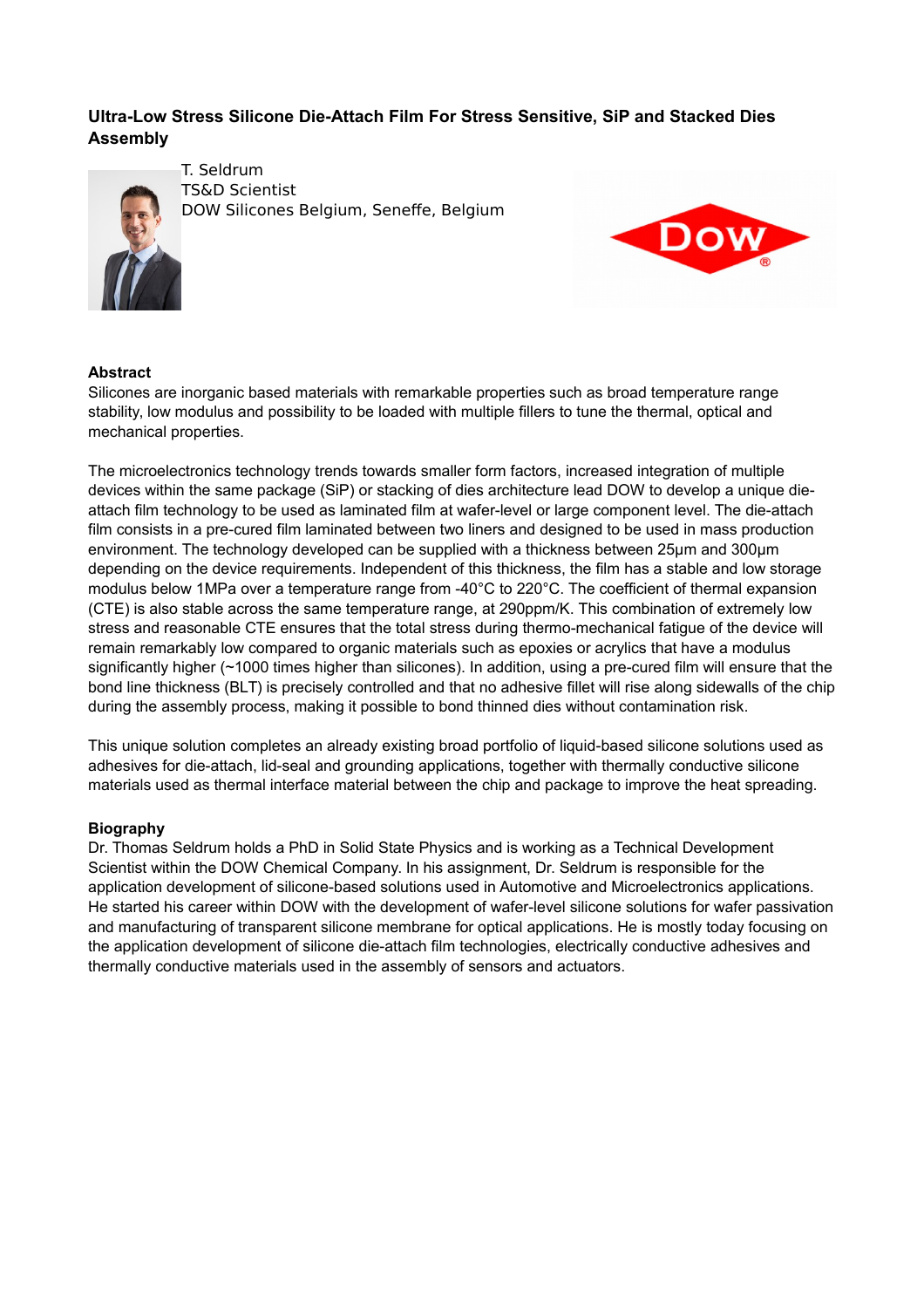# **Ultra-Low Stress Silicone Die-Attach Film For Stress Sensitive, SiP and Stacked Dies Assembly**



T. Seldrum TS&D Scientist DOW Silicones Belgium, Seneffe, Belgium



# **Abstract**

Silicones are inorganic based materials with remarkable properties such as broad temperature range stability, low modulus and possibility to be loaded with multiple fillers to tune the thermal, optical and mechanical properties.

The microelectronics technology trends towards smaller form factors, increased integration of multiple devices within the same package (SiP) or stacking of dies architecture lead DOW to develop a unique dieattach film technology to be used as laminated film at wafer-level or large component level. The die-attach film consists in a pre-cured film laminated between two liners and designed to be used in mass production environment. The technology developed can be supplied with a thickness between 25µm and 300µm depending on the device requirements. Independent of this thickness, the film has a stable and low storage modulus below 1MPa over a temperature range from -40°C to 220°C. The coefficient of thermal expansion (CTE) is also stable across the same temperature range, at 290ppm/K. This combination of extremely low stress and reasonable CTE ensures that the total stress during thermo-mechanical fatigue of the device will remain remarkably low compared to organic materials such as epoxies or acrylics that have a modulus significantly higher (~1000 times higher than silicones). In addition, using a pre-cured film will ensure that the bond line thickness (BLT) is precisely controlled and that no adhesive fillet will rise along sidewalls of the chip during the assembly process, making it possible to bond thinned dies without contamination risk.

This unique solution completes an already existing broad portfolio of liquid-based silicone solutions used as adhesives for die-attach, lid-seal and grounding applications, together with thermally conductive silicone materials used as thermal interface material between the chip and package to improve the heat spreading.

## **Biography**

Dr. Thomas Seldrum holds a PhD in Solid State Physics and is working as a Technical Development Scientist within the DOW Chemical Company. In his assignment, Dr. Seldrum is responsible for the application development of silicone-based solutions used in Automotive and Microelectronics applications. He started his career within DOW with the development of wafer-level silicone solutions for wafer passivation and manufacturing of transparent silicone membrane for optical applications. He is mostly today focusing on the application development of silicone die-attach film technologies, electrically conductive adhesives and thermally conductive materials used in the assembly of sensors and actuators.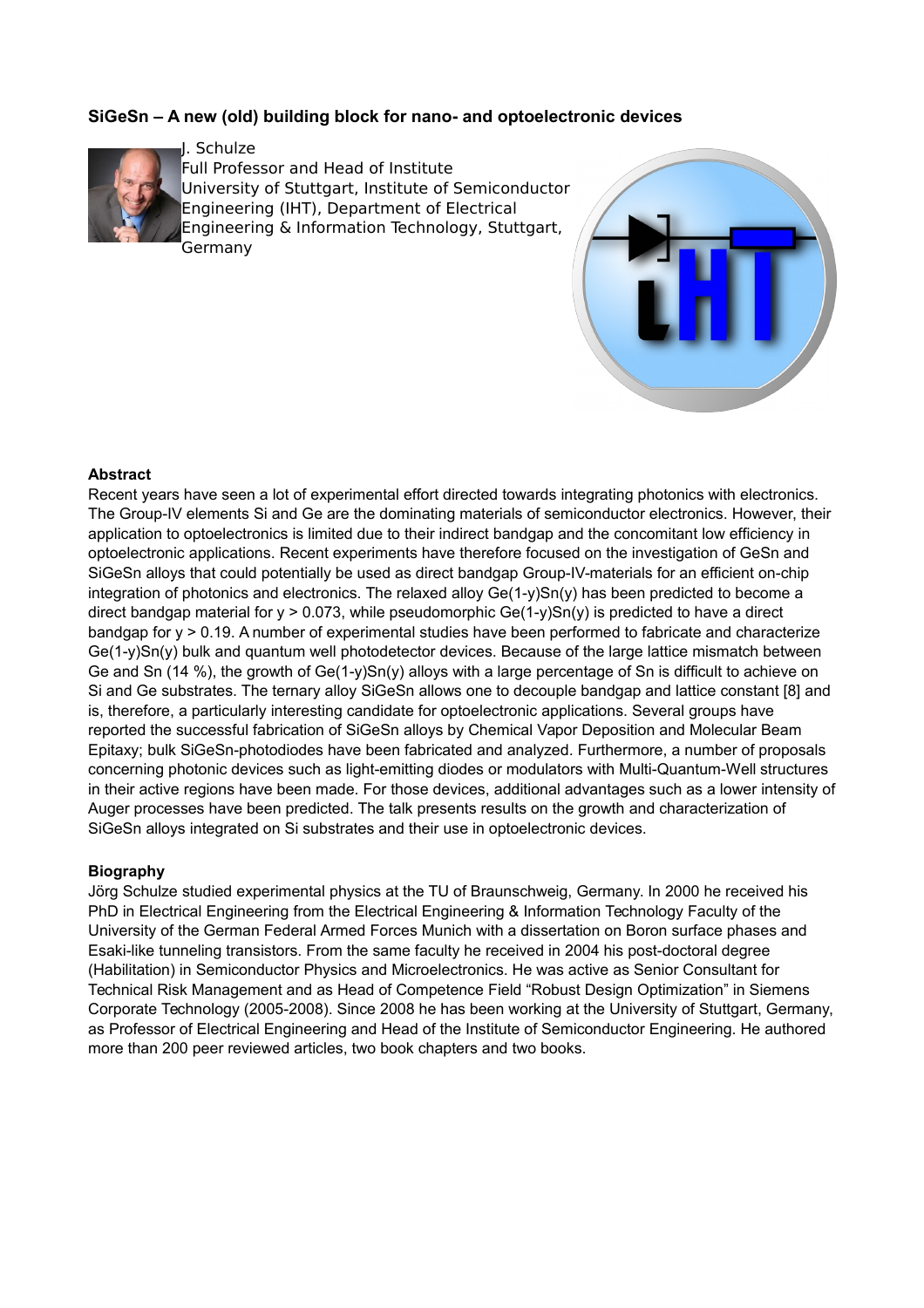# **SiGeSn – A new (old) building block for nano- and optoelectronic devices**



J. Schulze Full Professor and Head of Institute University of Stuttgart, Institute of Semiconductor Engineering (IHT), Department of Electrical Engineering & Information Technology, Stuttgart, Germany



### **Abstract**

Recent years have seen a lot of experimental effort directed towards integrating photonics with electronics. The Group-IV elements Si and Ge are the dominating materials of semiconductor electronics. However, their application to optoelectronics is limited due to their indirect bandgap and the concomitant low efficiency in optoelectronic applications. Recent experiments have therefore focused on the investigation of GeSn and SiGeSn alloys that could potentially be used as direct bandgap Group-IV-materials for an efficient on-chip integration of photonics and electronics. The relaxed alloy Ge(1-y)Sn(y) has been predicted to become a direct bandgap material for  $y > 0.073$ , while pseudomorphic Ge(1-y)Sn(y) is predicted to have a direct bandgap for y > 0.19. A number of experimental studies have been performed to fabricate and characterize Ge(1-y)Sn(y) bulk and quantum well photodetector devices. Because of the large lattice mismatch between Ge and Sn (14 %), the growth of Ge(1-y)Sn(y) alloys with a large percentage of Sn is difficult to achieve on Si and Ge substrates. The ternary alloy SiGeSn allows one to decouple bandgap and lattice constant [8] and is, therefore, a particularly interesting candidate for optoelectronic applications. Several groups have reported the successful fabrication of SiGeSn alloys by Chemical Vapor Deposition and Molecular Beam Epitaxy; bulk SiGeSn-photodiodes have been fabricated and analyzed. Furthermore, a number of proposals concerning photonic devices such as light-emitting diodes or modulators with Multi-Quantum-Well structures in their active regions have been made. For those devices, additional advantages such as a lower intensity of Auger processes have been predicted. The talk presents results on the growth and characterization of SiGeSn alloys integrated on Si substrates and their use in optoelectronic devices.

#### **Biography**

Jörg Schulze studied experimental physics at the TU of Braunschweig, Germany. In 2000 he received his PhD in Electrical Engineering from the Electrical Engineering & Information Technology Faculty of the University of the German Federal Armed Forces Munich with a dissertation on Boron surface phases and Esaki-like tunneling transistors. From the same faculty he received in 2004 his post-doctoral degree (Habilitation) in Semiconductor Physics and Microelectronics. He was active as Senior Consultant for Technical Risk Management and as Head of Competence Field "Robust Design Optimization" in Siemens Corporate Technology (2005-2008). Since 2008 he has been working at the University of Stuttgart, Germany, as Professor of Electrical Engineering and Head of the Institute of Semiconductor Engineering. He authored more than 200 peer reviewed articles, two book chapters and two books.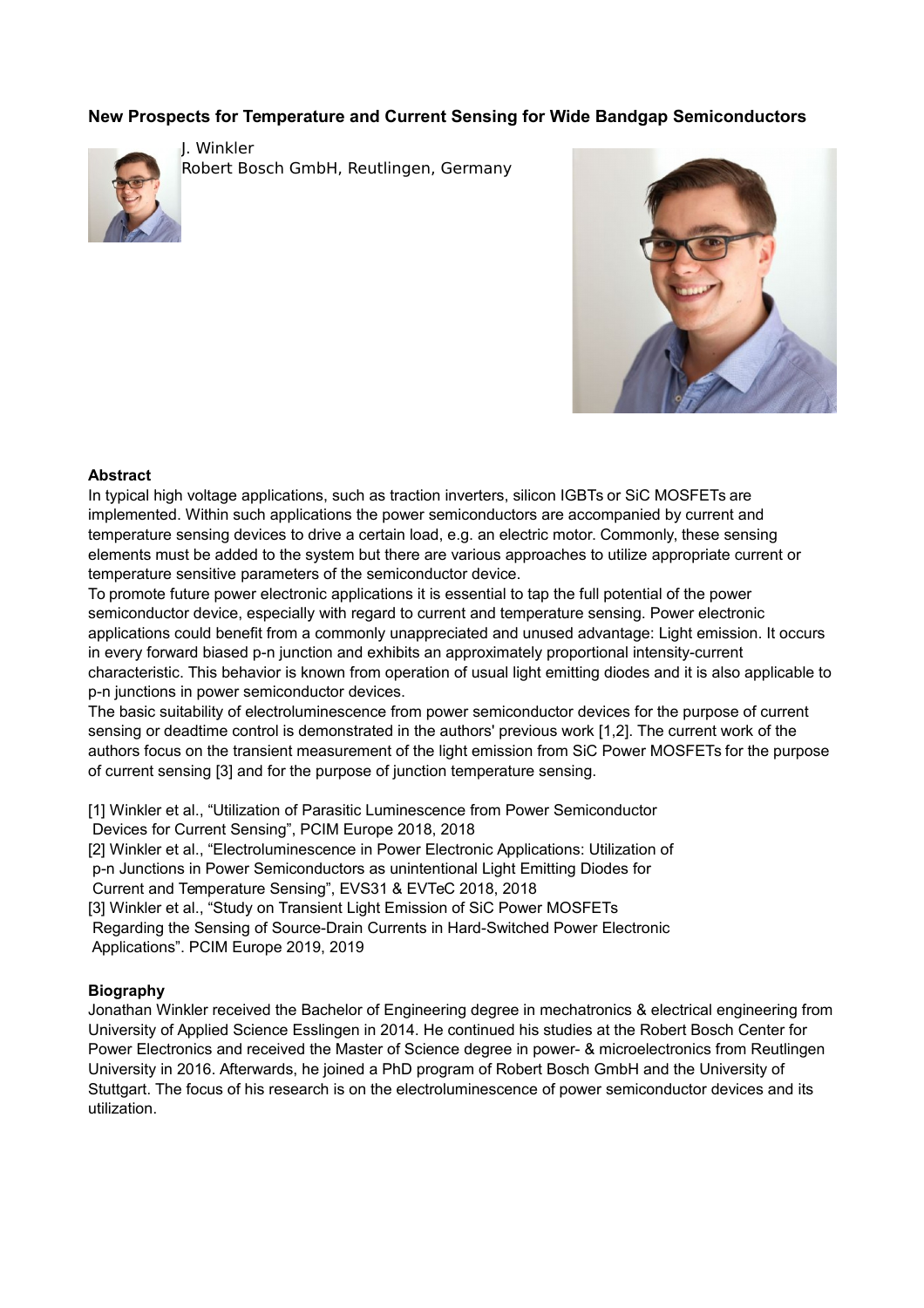# **New Prospects for Temperature and Current Sensing for Wide Bandgap Semiconductors**



J. Winkler Robert Bosch GmbH, Reutlingen, Germany



### **Abstract**

In typical high voltage applications, such as traction inverters, silicon IGBTs or SiC MOSFETs are implemented. Within such applications the power semiconductors are accompanied by current and temperature sensing devices to drive a certain load, e.g. an electric motor. Commonly, these sensing elements must be added to the system but there are various approaches to utilize appropriate current or temperature sensitive parameters of the semiconductor device.

To promote future power electronic applications it is essential to tap the full potential of the power semiconductor device, especially with regard to current and temperature sensing. Power electronic applications could benefit from a commonly unappreciated and unused advantage: Light emission. It occurs in every forward biased p-n junction and exhibits an approximately proportional intensity-current characteristic. This behavior is known from operation of usual light emitting diodes and it is also applicable to p-n junctions in power semiconductor devices.

The basic suitability of electroluminescence from power semiconductor devices for the purpose of current sensing or deadtime control is demonstrated in the authors' previous work [1,2]. The current work of the authors focus on the transient measurement of the light emission from SiC Power MOSFETs for the purpose of current sensing [3] and for the purpose of junction temperature sensing.

[1] Winkler et al., "Utilization of Parasitic Luminescence from Power Semiconductor Devices for Current Sensing", PCIM Europe 2018, 2018

[2] Winkler et al., "Electroluminescence in Power Electronic Applications: Utilization of

p-n Junctions in Power Semiconductors as unintentional Light Emitting Diodes for

Current and Temperature Sensing", EVS31 & EVTeC 2018, 2018

[3] Winkler et al., "Study on Transient Light Emission of SiC Power MOSFETs

 Regarding the Sensing of Source-Drain Currents in Hard-Switched Power Electronic Applications". PCIM Europe 2019, 2019

## **Biography**

Jonathan Winkler received the Bachelor of Engineering degree in mechatronics & electrical engineering from University of Applied Science Esslingen in 2014. He continued his studies at the Robert Bosch Center for Power Electronics and received the Master of Science degree in power- & microelectronics from Reutlingen University in 2016. Afterwards, he joined a PhD program of Robert Bosch GmbH and the University of Stuttgart. The focus of his research is on the electroluminescence of power semiconductor devices and its utilization.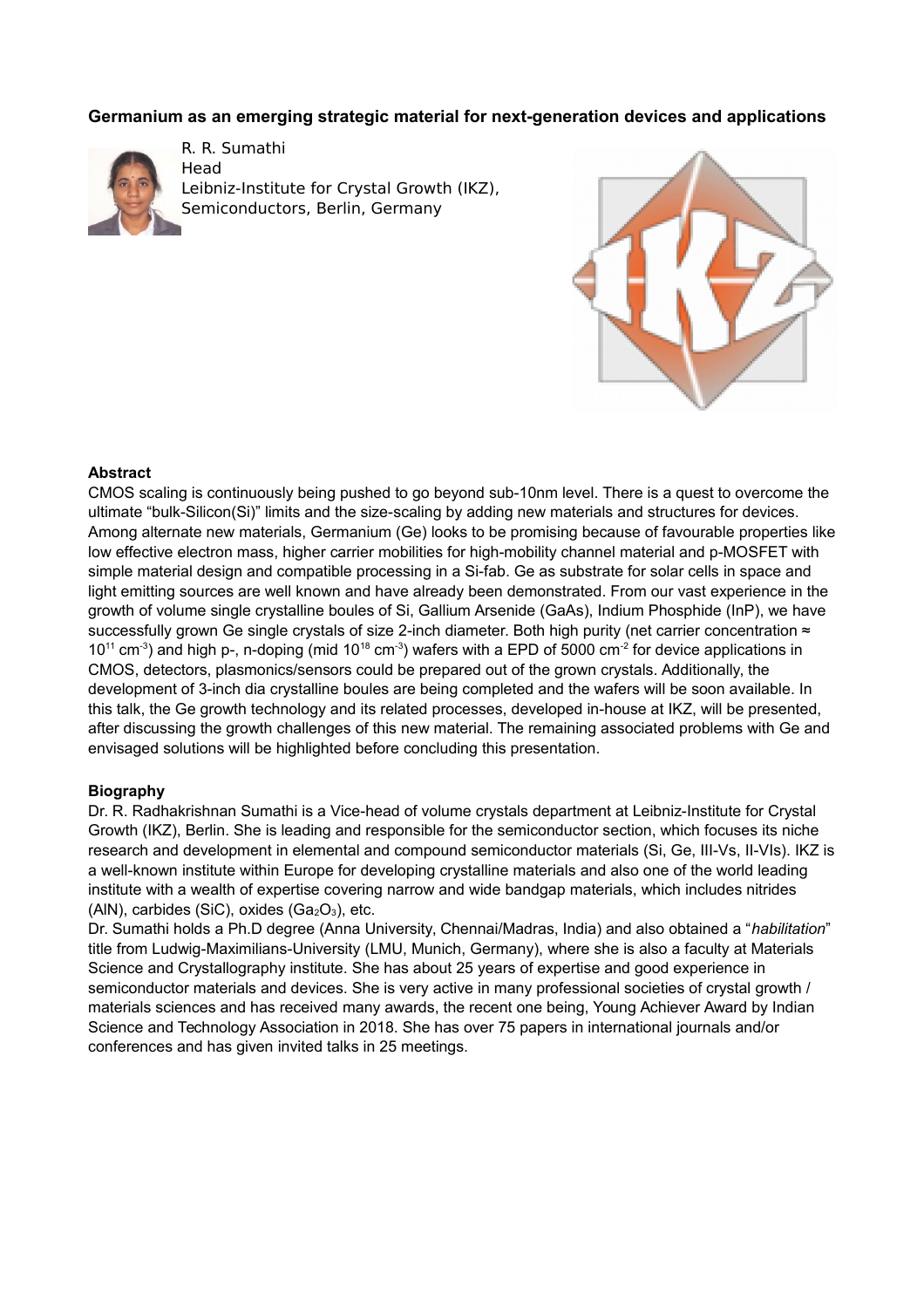# **Germanium as an emerging strategic material for next-generation devices and applications**



R. R. Sumathi Head Leibniz-Institute for Crystal Growth (IKZ), Semiconductors, Berlin, Germany



#### **Abstract**

CMOS scaling is continuously being pushed to go beyond sub-10nm level. There is a quest to overcome the ultimate "bulk-Silicon(Si)" limits and the size-scaling by adding new materials and structures for devices. Among alternate new materials, Germanium (Ge) looks to be promising because of favourable properties like low effective electron mass, higher carrier mobilities for high-mobility channel material and p-MOSFET with simple material design and compatible processing in a Si-fab. Ge as substrate for solar cells in space and light emitting sources are well known and have already been demonstrated. From our vast experience in the growth of volume single crystalline boules of Si, Gallium Arsenide (GaAs), Indium Phosphide (InP), we have successfully grown Ge single crystals of size 2-inch diameter. Both high purity (net carrier concentration ≈  $10^{11}$  cm<sup>-3</sup>) and high p-, n-doping (mid  $10^{18}$  cm<sup>-3</sup>) wafers with a EPD of 5000 cm<sup>-2</sup> for device applications in CMOS, detectors, plasmonics/sensors could be prepared out of the grown crystals. Additionally, the development of 3-inch dia crystalline boules are being completed and the wafers will be soon available. In this talk, the Ge growth technology and its related processes, developed in-house at IKZ, will be presented, after discussing the growth challenges of this new material. The remaining associated problems with Ge and envisaged solutions will be highlighted before concluding this presentation.

#### **Biography**

Dr. R. Radhakrishnan Sumathi is a Vice-head of volume crystals department at Leibniz-Institute for Crystal Growth (IKZ), Berlin. She is leading and responsible for the semiconductor section, which focuses its niche research and development in elemental and compound semiconductor materials (Si, Ge, III-Vs, II-VIs). IKZ is a well-known institute within Europe for developing crystalline materials and also one of the world leading institute with a wealth of expertise covering narrow and wide bandgap materials, which includes nitrides (AlN), carbides (SiC), oxides  $(Ga<sub>2</sub>O<sub>3</sub>)$ , etc.

Dr. Sumathi holds a Ph.D degree (Anna University, Chennai/Madras, India) and also obtained a "*habilitation*" title from Ludwig-Maximilians-University (LMU, Munich, Germany), where she is also a faculty at Materials Science and Crystallography institute. She has about 25 years of expertise and good experience in semiconductor materials and devices. She is very active in many professional societies of crystal growth / materials sciences and has received many awards, the recent one being, Young Achiever Award by Indian Science and Technology Association in 2018. She has over 75 papers in international journals and/or conferences and has given invited talks in 25 meetings.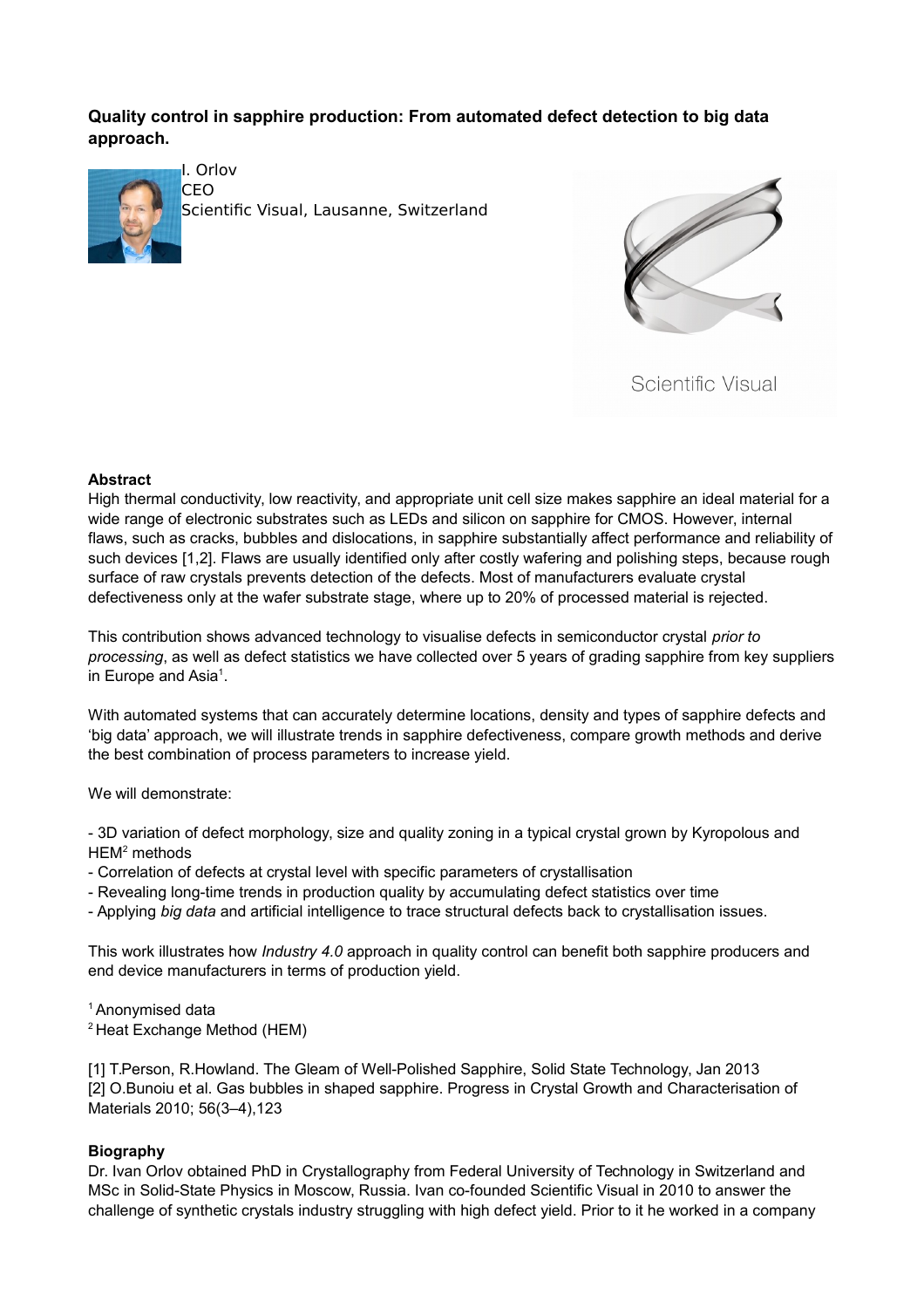# **Quality control in sapphire production: From automated defect detection to big data approach.**



I. Orlov CEO

Scientific Visual, Lausanne, Switzerland



Scientific Visual

# **Abstract**

High thermal conductivity, low reactivity, and appropriate unit cell size makes sapphire an ideal material for a wide range of electronic substrates such as LEDs and silicon on sapphire for CMOS. However, internal flaws, such as cracks, bubbles and dislocations, in sapphire substantially affect performance and reliability of such devices [1,2]. Flaws are usually identified only after costly wafering and polishing steps, because rough surface of raw crystals prevents detection of the defects. Most of manufacturers evaluate crystal defectiveness only at the wafer substrate stage, where up to 20% of processed material is rejected.

This contribution shows advanced technology to visualise defects in semiconductor crystal *prior to processing*, as well as defect statistics we have collected over 5 years of grading sapphire from key suppliers in Europe and Asia<sup>1</sup>.

With automated systems that can accurately determine locations, density and types of sapphire defects and 'big data' approach, we will illustrate trends in sapphire defectiveness, compare growth methods and derive the best combination of process parameters to increase yield.

We will demonstrate:

- 3D variation of defect morphology, size and quality zoning in a typical crystal grown by Kyropolous and HEM<sup>2</sup> methods

- Correlation of defects at crystal level with specific parameters of crystallisation
- Revealing long-time trends in production quality by accumulating defect statistics over time
- Applying *big data* and artificial intelligence to trace structural defects back to crystallisation issues.

This work illustrates how *Industry 4.0* approach in quality control can benefit both sapphire producers and end device manufacturers in terms of production yield.

## <sup>1</sup> Anonymised data

<sup>2</sup> Heat Exchange Method (HEM)

[1] T.Person, R.Howland. The Gleam of Well-Polished Sapphire, Solid State Technology, Jan 2013 [2] O.Bunoiu et al. Gas bubbles in shaped sapphire. Progress in Crystal Growth and Characterisation of Materials 2010; 56(3–4),123

# **Biography**

Dr. Ivan Orlov obtained PhD in Crystallography from Federal University of Technology in Switzerland and MSc in Solid-State Physics in Moscow, Russia. Ivan co-founded Scientific Visual in 2010 to answer the challenge of synthetic crystals industry struggling with high defect yield. Prior to it he worked in a company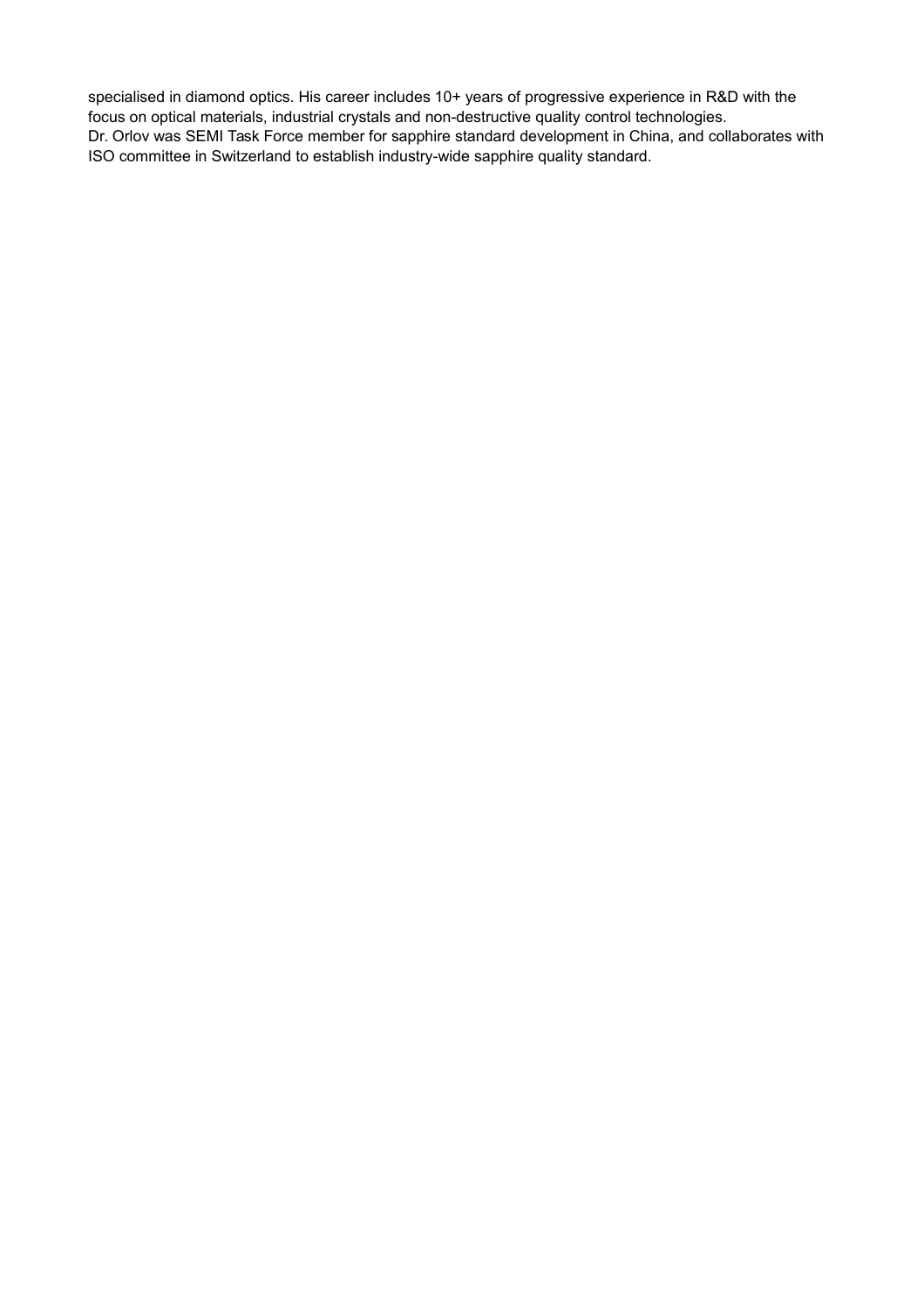specialised in diamond optics. His career includes 10+ years of progressive experience in R&D with the focus on optical materials, industrial crystals and non-destructive quality control technologies. Dr. Orlov was SEMI Task Force member for sapphire standard development in China, and collaborates with ISO committee in Switzerland to establish industry-wide sapphire quality standard.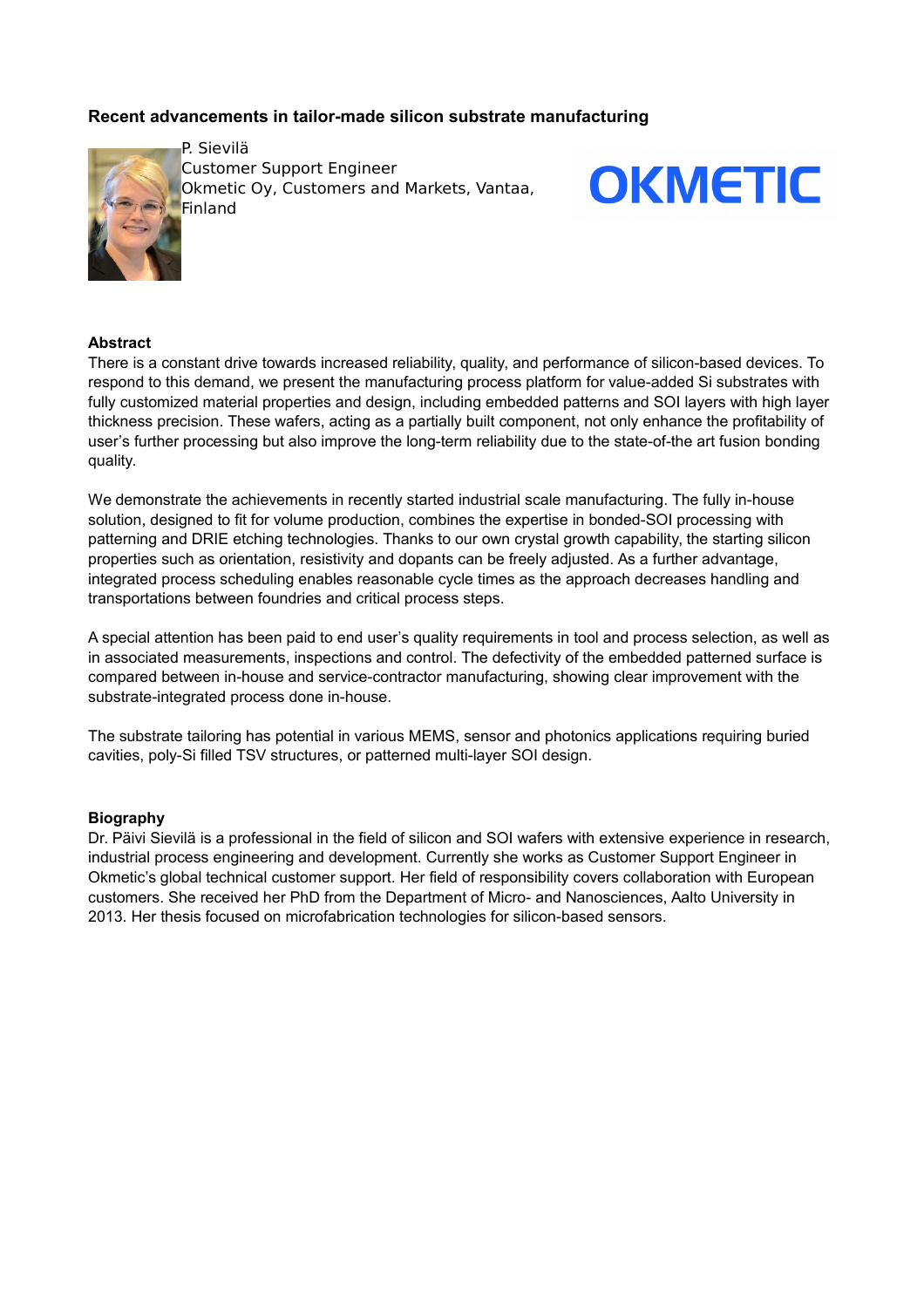# **Recent advancements in tailor-made silicon substrate manufacturing**



P. Sievilä Customer Support Engineer **Okmetic Oy, Customers and Markets, Vantaa,** Finland



### **Abstract**

There is a constant drive towards increased reliability, quality, and performance of silicon-based devices. To respond to this demand, we present the manufacturing process platform for value-added Si substrates with fully customized material properties and design, including embedded patterns and SOI layers with high layer thickness precision. These wafers, acting as a partially built component, not only enhance the profitability of user's further processing but also improve the long-term reliability due to the state-of-the art fusion bonding quality.

We demonstrate the achievements in recently started industrial scale manufacturing. The fully in-house solution, designed to fit for volume production, combines the expertise in bonded-SOI processing with patterning and DRIE etching technologies. Thanks to our own crystal growth capability, the starting silicon properties such as orientation, resistivity and dopants can be freely adjusted. As a further advantage, integrated process scheduling enables reasonable cycle times as the approach decreases handling and transportations between foundries and critical process steps.

A special attention has been paid to end user's quality requirements in tool and process selection, as well as in associated measurements, inspections and control. The defectivity of the embedded patterned surface is compared between in-house and service-contractor manufacturing, showing clear improvement with the substrate-integrated process done in-house.

The substrate tailoring has potential in various MEMS, sensor and photonics applications requiring buried cavities, poly-Si filled TSV structures, or patterned multi-layer SOI design.

#### **Biography**

Dr. Päivi Sievilä is a professional in the field of silicon and SOI wafers with extensive experience in research, industrial process engineering and development. Currently she works as Customer Support Engineer in Okmetic's global technical customer support. Her field of responsibility covers collaboration with European customers. She received her PhD from the Department of Micro- and Nanosciences, Aalto University in 2013. Her thesis focused on microfabrication technologies for silicon-based sensors.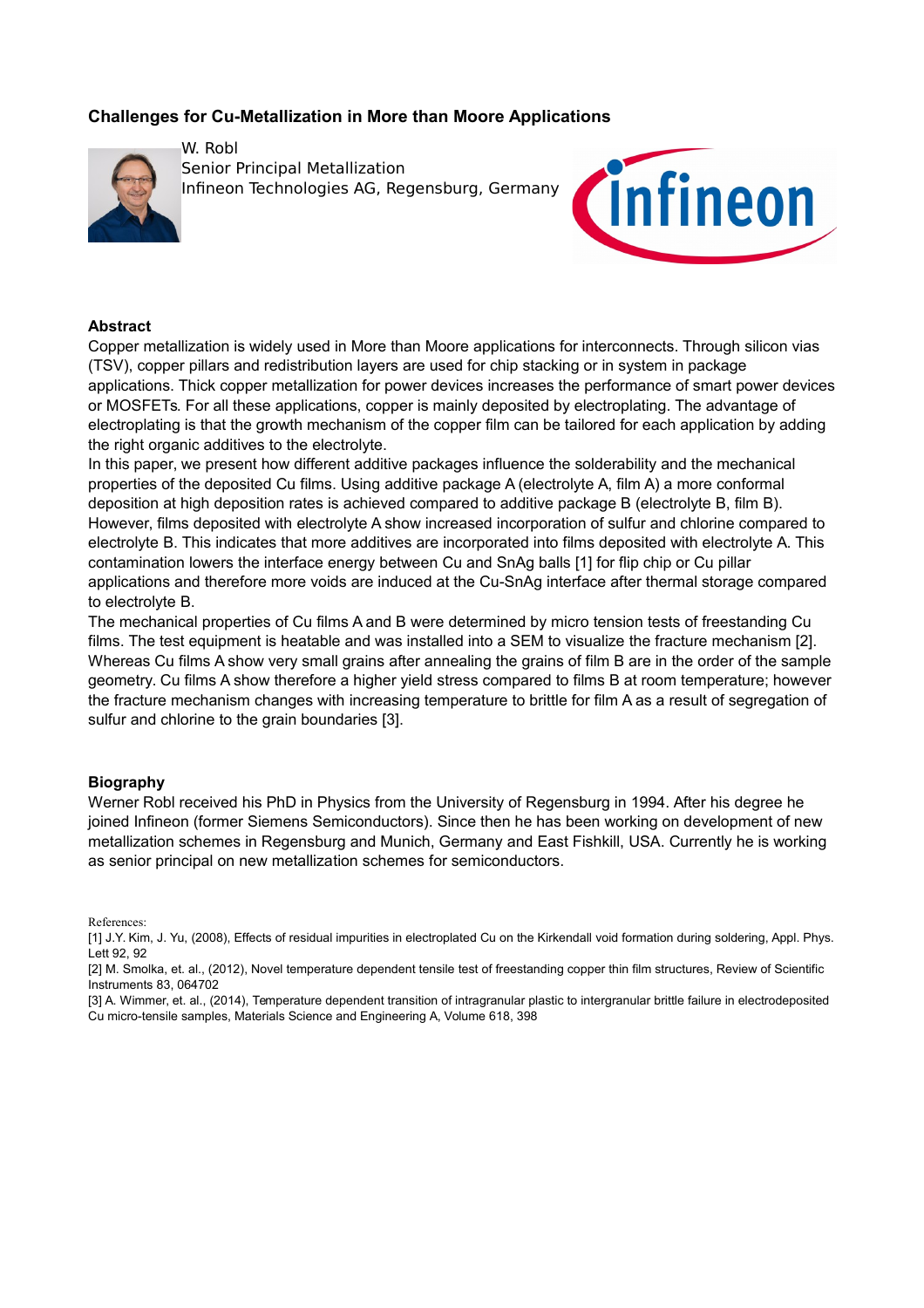# **Challenges for Cu-Metallization in More than Moore Applications**



W. Robl Senior Principal Metallization Infineon Technologies AG, Regensburg, Germany



#### **Abstract**

Copper metallization is widely used in More than Moore applications for interconnects. Through silicon vias (TSV), copper pillars and redistribution layers are used for chip stacking or in system in package applications. Thick copper metallization for power devices increases the performance of smart power devices or MOSFETs. For all these applications, copper is mainly deposited by electroplating. The advantage of electroplating is that the growth mechanism of the copper film can be tailored for each application by adding the right organic additives to the electrolyte.

In this paper, we present how different additive packages influence the solderability and the mechanical properties of the deposited Cu films. Using additive package A (electrolyte A, film A) a more conformal deposition at high deposition rates is achieved compared to additive package B (electrolyte B, film B). However, films deposited with electrolyte A show increased incorporation of sulfur and chlorine compared to electrolyte B. This indicates that more additives are incorporated into films deposited with electrolyte A. This contamination lowers the interface energy between Cu and SnAg balls [1] for flip chip or Cu pillar applications and therefore more voids are induced at the Cu-SnAg interface after thermal storage compared to electrolyte B.

The mechanical properties of Cu films A and B were determined by micro tension tests of freestanding Cu films. The test equipment is heatable and was installed into a SEM to visualize the fracture mechanism [2]. Whereas Cu films A show very small grains after annealing the grains of film B are in the order of the sample geometry. Cu films A show therefore a higher yield stress compared to films B at room temperature; however the fracture mechanism changes with increasing temperature to brittle for film A as a result of segregation of sulfur and chlorine to the grain boundaries [3].

#### **Biography**

Werner Robl received his PhD in Physics from the University of Regensburg in 1994. After his degree he joined Infineon (former Siemens Semiconductors). Since then he has been working on development of new metallization schemes in Regensburg and Munich, Germany and East Fishkill, USA. Currently he is working as senior principal on new metallization schemes for semiconductors.

References:

<sup>[1]</sup> J.Y. Kim, J. Yu, (2008), Effects of residual impurities in electroplated Cu on the Kirkendall void formation during soldering, Appl. Phys. Lett 92, 92

<sup>[2]</sup> M. Smolka, et. al., (2012), Novel temperature dependent tensile test of freestanding copper thin film structures, Review of Scientific Instruments 83, 064702

<sup>[3]</sup> A. Wimmer, et. al., (2014), Temperature dependent transition of intragranular plastic to intergranular brittle failure in electrodeposited Cu micro-tensile samples, Materials Science and Engineering A, Volume 618, 398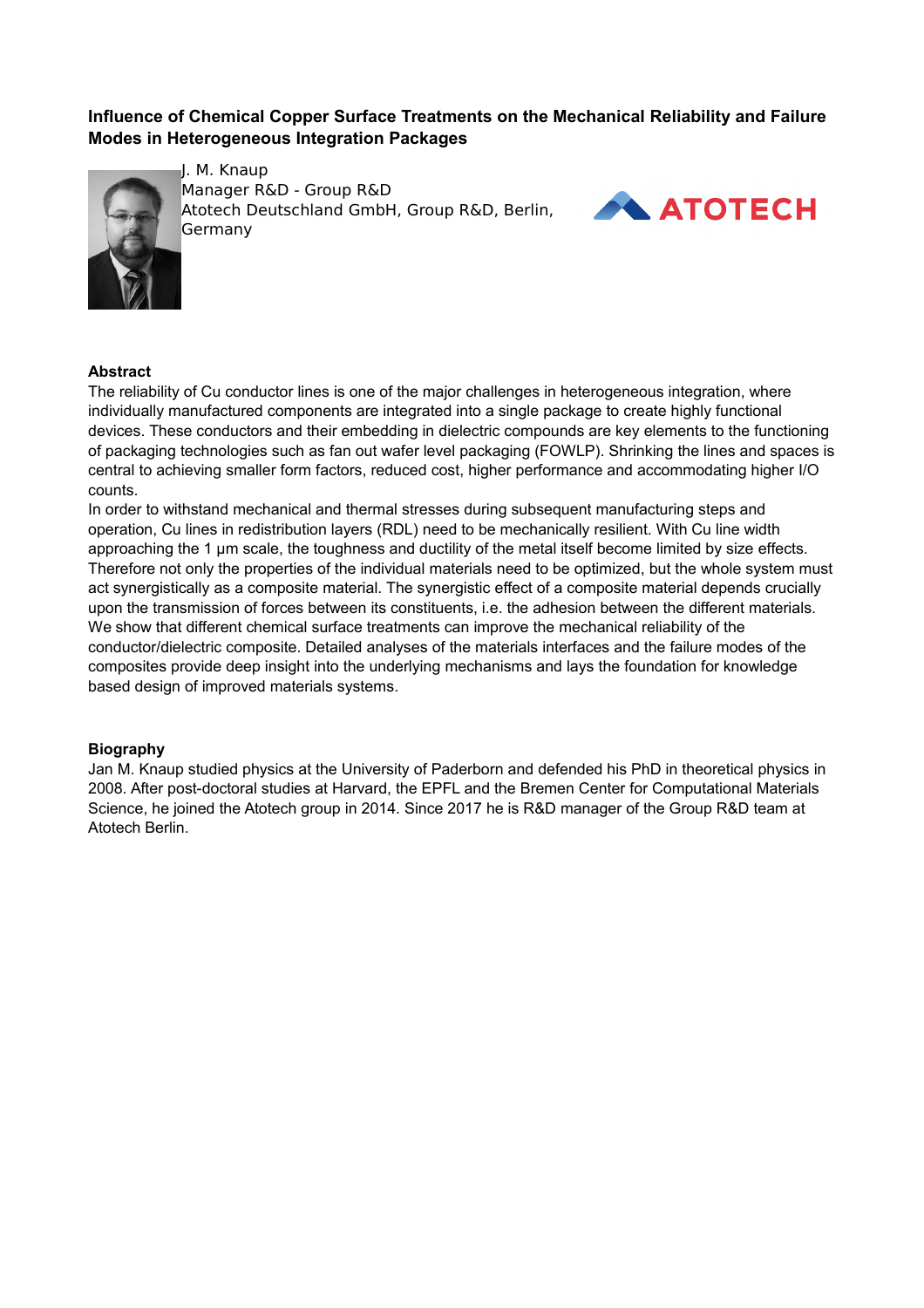# **Influence of Chemical Copper Surface Treatments on the Mechanical Reliability and Failure Modes in Heterogeneous Integration Packages**



J. M. Knaup Manager R&D - Group R&D Atotech Deutschland GmbH, Group R&D, Berlin, **ATOTECH** Germany



# **Abstract**

The reliability of Cu conductor lines is one of the major challenges in heterogeneous integration, where individually manufactured components are integrated into a single package to create highly functional devices. These conductors and their embedding in dielectric compounds are key elements to the functioning of packaging technologies such as fan out wafer level packaging (FOWLP). Shrinking the lines and spaces is central to achieving smaller form factors, reduced cost, higher performance and accommodating higher I/O counts.

In order to withstand mechanical and thermal stresses during subsequent manufacturing steps and operation, Cu lines in redistribution layers (RDL) need to be mechanically resilient. With Cu line width approaching the 1 µm scale, the toughness and ductility of the metal itself become limited by size effects. Therefore not only the properties of the individual materials need to be optimized, but the whole system must act synergistically as a composite material. The synergistic effect of a composite material depends crucially upon the transmission of forces between its constituents, i.e. the adhesion between the different materials. We show that different chemical surface treatments can improve the mechanical reliability of the conductor/dielectric composite. Detailed analyses of the materials interfaces and the failure modes of the composites provide deep insight into the underlying mechanisms and lays the foundation for knowledge based design of improved materials systems.

## **Biography**

Jan M. Knaup studied physics at the University of Paderborn and defended his PhD in theoretical physics in 2008. After post-doctoral studies at Harvard, the EPFL and the Bremen Center for Computational Materials Science, he joined the Atotech group in 2014. Since 2017 he is R&D manager of the Group R&D team at Atotech Berlin.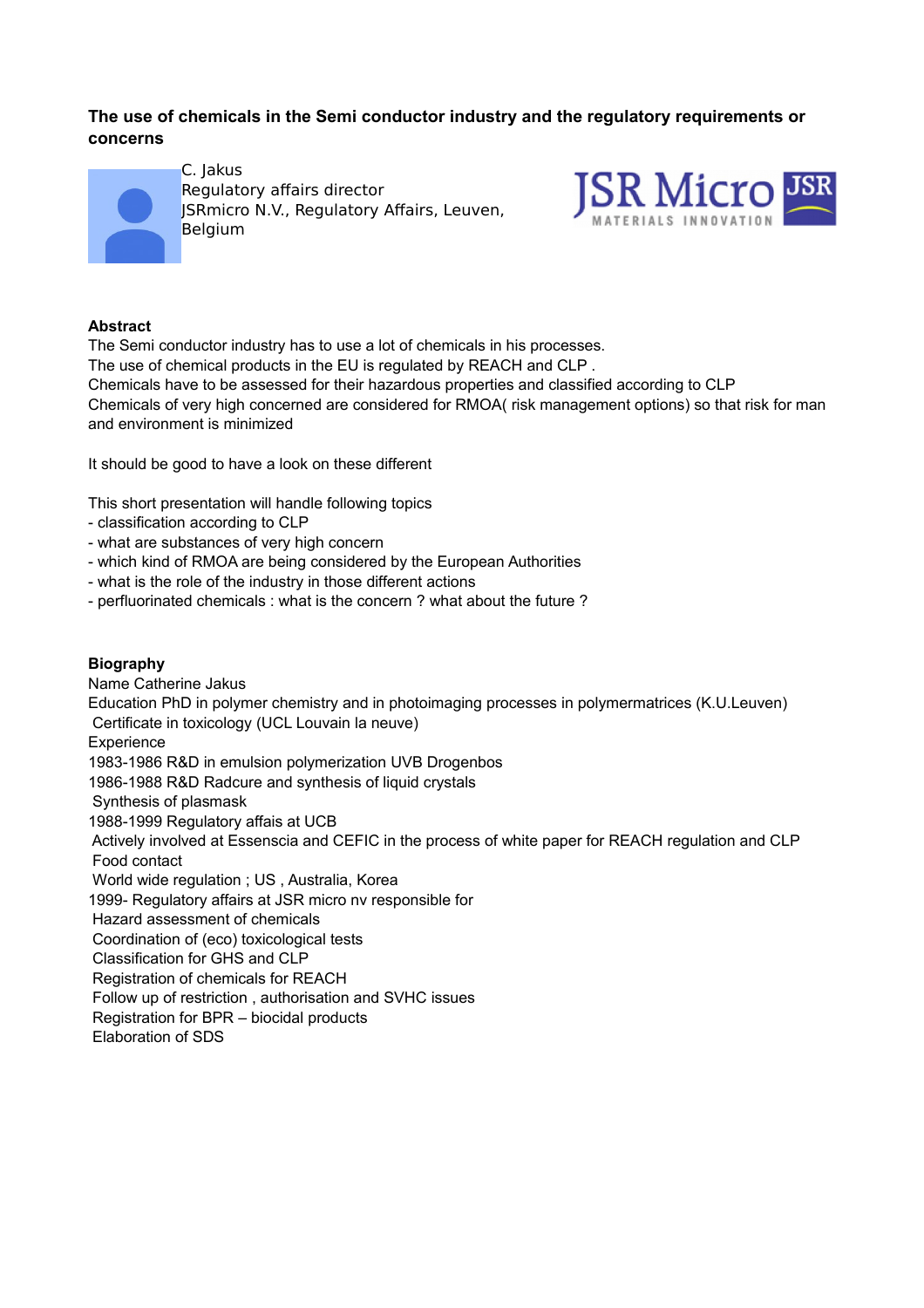# **The use of chemicals in the Semi conductor industry and the regulatory requirements or concerns**



C. Jakus Regulatory affairs director JSRmicro N.V., Regulatory Affairs, Leuven, Belgium



# **Abstract**

The Semi conductor industry has to use a lot of chemicals in his processes. The use of chemical products in the EU is regulated by REACH and CLP . Chemicals have to be assessed for their hazardous properties and classified according to CLP Chemicals of very high concerned are considered for RMOA( risk management options) so that risk for man and environment is minimized

It should be good to have a look on these different

This short presentation will handle following topics

- classification according to CLP
- what are substances of very high concern
- which kind of RMOA are being considered by the European Authorities
- what is the role of the industry in those different actions
- perfluorinated chemicals : what is the concern ? what about the future ?

# **Biography**

Name Catherine Jakus Education PhD in polymer chemistry and in photoimaging processes in polymermatrices (K.U.Leuven) Certificate in toxicology (UCL Louvain la neuve) Experience 1983-1986 R&D in emulsion polymerization UVB Drogenbos 1986-1988 R&D Radcure and synthesis of liquid crystals Synthesis of plasmask 1988-1999 Regulatory affais at UCB Actively involved at Essenscia and CEFIC in the process of white paper for REACH regulation and CLP Food contact World wide regulation ; US , Australia, Korea 1999- Regulatory affairs at JSR micro nv responsible for Hazard assessment of chemicals Coordination of (eco) toxicological tests Classification for GHS and CLP Registration of chemicals for REACH Follow up of restriction , authorisation and SVHC issues Registration for BPR – biocidal products Elaboration of SDS